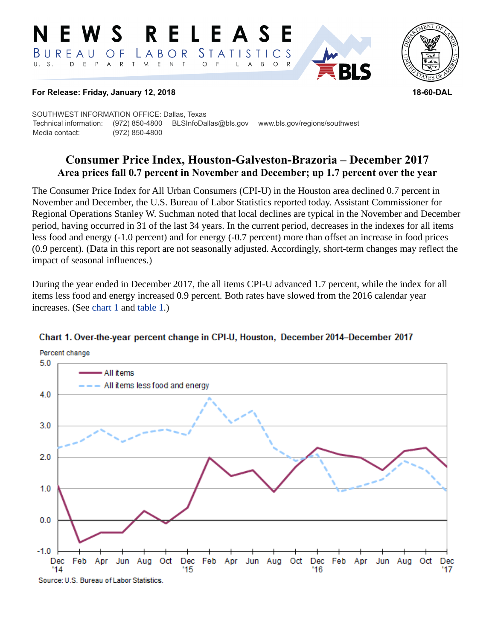#### RELEASE E W S *STATISTICS* BUREAU LABOR  $\overline{O}$  F D E P A R T M E N T  $\circ$  $U. S.$  $\overline{A}$  $B$  $\circ$  $\mathsf{L}$



#### **For Release: Friday, January 12, 2018 18-60-DAL**

SOUTHWEST INFORMATION OFFICE: Dallas, Texas Technical information: (972) 850-4800 BLSInfoDallas@bls.gov www.bls.gov/regions/southwest Media contact: (972) 850-4800

# **Consumer Price Index, Houston-Galveston-Brazoria – December 2017 Area prices fall 0.7 percent in November and December; up 1.7 percent over the year**

The Consumer Price Index for All Urban Consumers (CPI-U) in the Houston area declined 0.7 percent in November and December, the U.S. Bureau of Labor Statistics reported today. Assistant Commissioner for Regional Operations Stanley W. Suchman noted that local declines are typical in the November and December period, having occurred in 31 of the last 34 years. In the current period, decreases in the indexes for all items less food and energy (-1.0 percent) and for energy (-0.7 percent) more than offset an increase in food prices (0.9 percent). (Data in this report are not seasonally adjusted. Accordingly, short-term changes may reflect the impact of seasonal influences.)

During the year ended in December 2017, the all items CPI-U advanced 1.7 percent, while the index for all items less food and energy increased 0.9 percent. Both rates have slowed from the 2016 calendar year increases. (See [chart 1](#page-0-0) and [table 1](#page-3-0).)



#### <span id="page-0-0"></span>Chart 1. Over-the-year percent change in CPI-U, Houston, December 2014-December 2017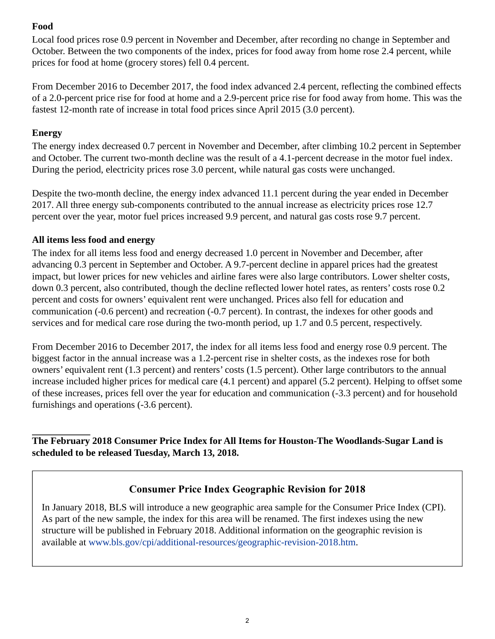## **Food**

Local food prices rose 0.9 percent in November and December, after recording no change in September and October. Between the two components of the index, prices for food away from home rose 2.4 percent, while prices for food at home (grocery stores) fell 0.4 percent.

From December 2016 to December 2017, the food index advanced 2.4 percent, reflecting the combined effects of a 2.0-percent price rise for food at home and a 2.9-percent price rise for food away from home. This was the fastest 12-month rate of increase in total food prices since April 2015 (3.0 percent).

### **Energy**

The energy index decreased 0.7 percent in November and December, after climbing 10.2 percent in September and October. The current two-month decline was the result of a 4.1-percent decrease in the motor fuel index. During the period, electricity prices rose 3.0 percent, while natural gas costs were unchanged.

Despite the two-month decline, the energy index advanced 11.1 percent during the year ended in December 2017. All three energy sub-components contributed to the annual increase as electricity prices rose 12.7 percent over the year, motor fuel prices increased 9.9 percent, and natural gas costs rose 9.7 percent.

## **All items less food and energy**

The index for all items less food and energy decreased 1.0 percent in November and December, after advancing 0.3 percent in September and October. A 9.7-percent decline in apparel prices had the greatest impact, but lower prices for new vehicles and airline fares were also large contributors. Lower shelter costs, down 0.3 percent, also contributed, though the decline reflected lower hotel rates, as renters' costs rose 0.2 percent and costs for owners' equivalent rent were unchanged. Prices also fell for education and communication (-0.6 percent) and recreation (-0.7 percent). In contrast, the indexes for other goods and services and for medical care rose during the two-month period, up 1.7 and 0.5 percent, respectively.

From December 2016 to December 2017, the index for all items less food and energy rose 0.9 percent. The biggest factor in the annual increase was a 1.2-percent rise in shelter costs, as the indexes rose for both owners' equivalent rent (1.3 percent) and renters' costs (1.5 percent). Other large contributors to the annual increase included higher prices for medical care (4.1 percent) and apparel (5.2 percent). Helping to offset some of these increases, prices fell over the year for education and communication (-3.3 percent) and for household furnishings and operations (-3.6 percent).

**The February 2018 Consumer Price Index for All Items for Houston-The Woodlands-Sugar Land is scheduled to be released Tuesday, March 13, 2018.**

# **Consumer Price Index Geographic Revision for 2018**

In January 2018, BLS will introduce a new geographic area sample for the Consumer Price Index (CPI). As part of the new sample, the index for this area will be renamed. The first indexes using the new structure will be published in February 2018. Additional information on the geographic revision is available at [www.bls.gov/cpi/additional-resources/geographic-revision-2018.htm](https://www.bls.gov/cpi/additional-resources/geographic-revision-2018.htm).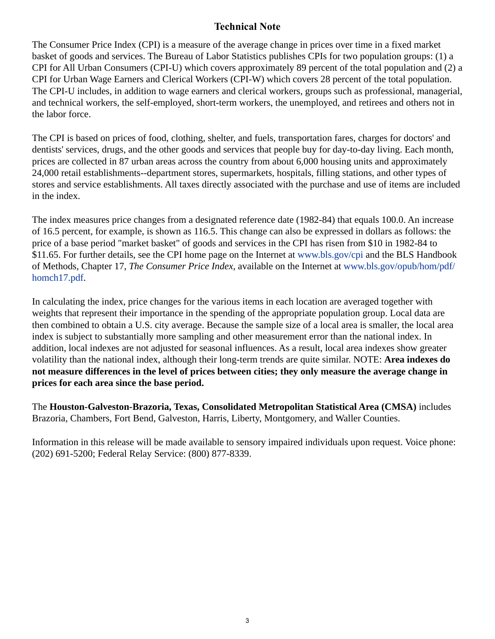## **Technical Note**

The Consumer Price Index (CPI) is a measure of the average change in prices over time in a fixed market basket of goods and services. The Bureau of Labor Statistics publishes CPIs for two population groups: (1) a CPI for All Urban Consumers (CPI-U) which covers approximately 89 percent of the total population and (2) a CPI for Urban Wage Earners and Clerical Workers (CPI-W) which covers 28 percent of the total population. The CPI-U includes, in addition to wage earners and clerical workers, groups such as professional, managerial, and technical workers, the self-employed, short-term workers, the unemployed, and retirees and others not in the labor force.

The CPI is based on prices of food, clothing, shelter, and fuels, transportation fares, charges for doctors' and dentists' services, drugs, and the other goods and services that people buy for day-to-day living. Each month, prices are collected in 87 urban areas across the country from about 6,000 housing units and approximately 24,000 retail establishments--department stores, supermarkets, hospitals, filling stations, and other types of stores and service establishments. All taxes directly associated with the purchase and use of items are included in the index.

The index measures price changes from a designated reference date (1982-84) that equals 100.0. An increase of 16.5 percent, for example, is shown as 116.5. This change can also be expressed in dollars as follows: the price of a base period "market basket" of goods and services in the CPI has risen from \$10 in 1982-84 to \$11.65. For further details, see the CPI home page on the Internet at [www.bls.gov/cpi](https://www.bls.gov/cpi) and the BLS Handbook of Methods, Chapter 17, *The Consumer Price Index*, available on the Internet at [www.bls.gov/opub/hom/pdf/](https://www.bls.gov/opub/hom/pdf/homch17.pdf) [homch17.pdf](https://www.bls.gov/opub/hom/pdf/homch17.pdf).

In calculating the index, price changes for the various items in each location are averaged together with weights that represent their importance in the spending of the appropriate population group. Local data are then combined to obtain a U.S. city average. Because the sample size of a local area is smaller, the local area index is subject to substantially more sampling and other measurement error than the national index. In addition, local indexes are not adjusted for seasonal influences. As a result, local area indexes show greater volatility than the national index, although their long-term trends are quite similar. NOTE: **Area indexes do not measure differences in the level of prices between cities; they only measure the average change in prices for each area since the base period.**

The **Houston-Galveston-Brazoria, Texas, Consolidated Metropolitan Statistical Area (CMSA)** includes Brazoria, Chambers, Fort Bend, Galveston, Harris, Liberty, Montgomery, and Waller Counties.

Information in this release will be made available to sensory impaired individuals upon request. Voice phone: (202) 691-5200; Federal Relay Service: (800) 877-8339.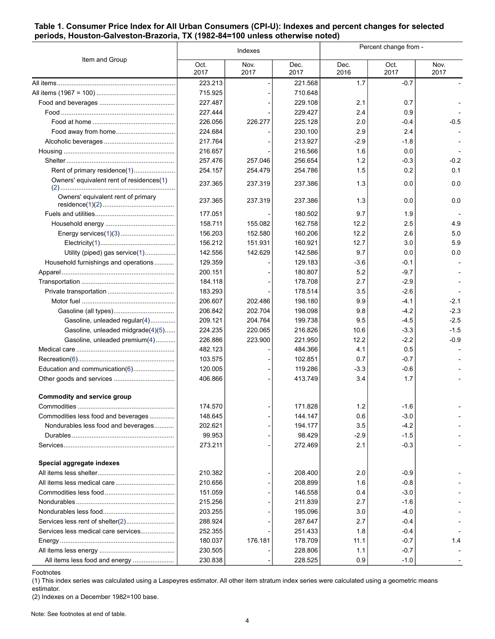#### <span id="page-3-0"></span>**Table 1. Consumer Price Index for All Urban Consumers (CPI-U): Indexes and percent changes for selected periods, Houston-Galveston-Brazoria, TX (1982-84=100 unless otherwise noted)**

| Oct.<br>Nov.<br>Dec.<br>Oct.<br>Nov.<br>Dec.<br>2017<br>2017<br>2017<br>2017<br>2017<br>2016<br>223.213<br>1.7<br>$-0.7$<br>221.568<br>715.925<br>710.648<br>227.487<br>229.108<br>2.1<br>0.7<br>227.444<br>229.427<br>2.4<br>0.9<br>226.056<br>226.277<br>225.128<br>2.0<br>$-0.5$<br>-0.4<br>224.684<br>230.100<br>2.9<br>2.4<br>217.764<br>213.927<br>$-2.9$<br>-1.8<br>216.657<br>216.566<br>1.6<br>0.0<br>$-0.2$<br>257.476<br>257.046<br>256.654<br>1.2<br>$-0.3$<br>0.1<br>Rent of primary residence(1)<br>254.157<br>254.786<br>1.5<br>0.2<br>254.479<br>Owners' equivalent rent of residences(1)<br>1.3<br>0.0<br>237.365<br>237.319<br>237.386<br>0.0<br>Owners' equivalent rent of primary<br>0.0<br>237.365<br>237.319<br>237.386<br>1.3<br>0.0<br>177.051<br>180.502<br>9.7<br>1.9<br>158.711<br>162.758<br>12.2<br>2.5<br>4.9<br>155.082<br>5.0<br>156.203<br>160.206<br>12.2<br>2.6<br>152.580<br>5.9<br>156.212<br>160.921<br>12.7<br>3.0<br>151.931<br>Utility (piped) gas service(1)<br>142.556<br>142.629<br>142.586<br>9.7<br>0.0<br>0.0<br>Household furnishings and operations<br>129.359<br>129.183<br>$-3.6$<br>-0.1<br>200.151<br>180.807<br>5.2<br>$-9.7$<br>184.118<br>178.708<br>2.7<br>$-2.9$<br>183.293<br>178.514<br>3.5<br>$-2.6$<br>$-2.1$<br>206.607<br>198.180<br>9.9<br>$-4.1$<br>202.486<br>$-2.3$<br>206.842<br>202.704<br>198.098<br>9.8<br>$-4.2$<br>9.5<br>$-2.5$<br>Gasoline, unleaded regular(4)<br>209.121<br>204.764<br>199.738<br>$-4.5$<br>$-1.5$<br>Gasoline, unleaded midgrade(4)(5)<br>224.235<br>220.065<br>216.826<br>10.6<br>$-3.3$<br>$-0.9$<br>Gasoline, unleaded premium(4)<br>226.886<br>223.900<br>221.950<br>12.2<br>$-2.2$<br>482.123<br>484.366<br>4.1<br>0.5<br>103.575<br>102.851<br>0.7<br>$-0.7$<br>Education and communication(6)<br>120.005<br>119.286<br>$-3.3$<br>$-0.6$<br>406.866<br>413.749<br>3.4<br>1.7<br><b>Commodity and service group</b><br>174.570<br>171.828<br>1.2<br>$-1.6$<br>Commodities less food and beverages<br>148.645<br>144.147<br>0.6<br>$-3.0$<br>3.5<br>Nondurables less food and beverages<br>202.621<br>194.177<br>$-4.2$<br>99.953<br>98.429<br>$-2.9$<br>$-1.5$<br>273.211<br>272.469<br>2.1<br>$-0.3$<br>Special aggregate indexes<br>210.382<br>2.0<br>$-0.9$<br>208.400<br>$-0.8$<br>210.656<br>208.899<br>1.6<br>$-3.0$<br>151.059<br>146.558<br>0.4<br>215.256<br>211.839<br>2.7<br>$-1.6$<br>203.255<br>195.096<br>$-4.0$<br>3.0<br>288.924<br>287.647<br>2.7<br>$-0.4$<br>Services less medical care services<br>252.355<br>$-0.4$<br>251.433<br>1.8<br>180.037<br>176.181<br>11.1<br>$-0.7$<br>1.4<br>178.709<br>$-0.7$<br>230.505<br>228.806<br>1.1<br>All items less food and energy<br>230.838<br>228.525<br>0.9<br>$-1.0$ |                | Indexes |  |  | Percent change from - |  |  |
|------------------------------------------------------------------------------------------------------------------------------------------------------------------------------------------------------------------------------------------------------------------------------------------------------------------------------------------------------------------------------------------------------------------------------------------------------------------------------------------------------------------------------------------------------------------------------------------------------------------------------------------------------------------------------------------------------------------------------------------------------------------------------------------------------------------------------------------------------------------------------------------------------------------------------------------------------------------------------------------------------------------------------------------------------------------------------------------------------------------------------------------------------------------------------------------------------------------------------------------------------------------------------------------------------------------------------------------------------------------------------------------------------------------------------------------------------------------------------------------------------------------------------------------------------------------------------------------------------------------------------------------------------------------------------------------------------------------------------------------------------------------------------------------------------------------------------------------------------------------------------------------------------------------------------------------------------------------------------------------------------------------------------------------------------------------------------------------------------------------------------------------------------------------------------------------------------------------------------------------------------------------------------------------------------------------------------------------------------------------------------------------------------------------------------------------------------------------------------------------------------------------------------------------------------------------------------------------------------------------------------------------------------------------------------------------------------------------------------------------|----------------|---------|--|--|-----------------------|--|--|
|                                                                                                                                                                                                                                                                                                                                                                                                                                                                                                                                                                                                                                                                                                                                                                                                                                                                                                                                                                                                                                                                                                                                                                                                                                                                                                                                                                                                                                                                                                                                                                                                                                                                                                                                                                                                                                                                                                                                                                                                                                                                                                                                                                                                                                                                                                                                                                                                                                                                                                                                                                                                                                                                                                                                          | Item and Group |         |  |  |                       |  |  |
|                                                                                                                                                                                                                                                                                                                                                                                                                                                                                                                                                                                                                                                                                                                                                                                                                                                                                                                                                                                                                                                                                                                                                                                                                                                                                                                                                                                                                                                                                                                                                                                                                                                                                                                                                                                                                                                                                                                                                                                                                                                                                                                                                                                                                                                                                                                                                                                                                                                                                                                                                                                                                                                                                                                                          |                |         |  |  |                       |  |  |
|                                                                                                                                                                                                                                                                                                                                                                                                                                                                                                                                                                                                                                                                                                                                                                                                                                                                                                                                                                                                                                                                                                                                                                                                                                                                                                                                                                                                                                                                                                                                                                                                                                                                                                                                                                                                                                                                                                                                                                                                                                                                                                                                                                                                                                                                                                                                                                                                                                                                                                                                                                                                                                                                                                                                          |                |         |  |  |                       |  |  |
|                                                                                                                                                                                                                                                                                                                                                                                                                                                                                                                                                                                                                                                                                                                                                                                                                                                                                                                                                                                                                                                                                                                                                                                                                                                                                                                                                                                                                                                                                                                                                                                                                                                                                                                                                                                                                                                                                                                                                                                                                                                                                                                                                                                                                                                                                                                                                                                                                                                                                                                                                                                                                                                                                                                                          |                |         |  |  |                       |  |  |
|                                                                                                                                                                                                                                                                                                                                                                                                                                                                                                                                                                                                                                                                                                                                                                                                                                                                                                                                                                                                                                                                                                                                                                                                                                                                                                                                                                                                                                                                                                                                                                                                                                                                                                                                                                                                                                                                                                                                                                                                                                                                                                                                                                                                                                                                                                                                                                                                                                                                                                                                                                                                                                                                                                                                          |                |         |  |  |                       |  |  |
|                                                                                                                                                                                                                                                                                                                                                                                                                                                                                                                                                                                                                                                                                                                                                                                                                                                                                                                                                                                                                                                                                                                                                                                                                                                                                                                                                                                                                                                                                                                                                                                                                                                                                                                                                                                                                                                                                                                                                                                                                                                                                                                                                                                                                                                                                                                                                                                                                                                                                                                                                                                                                                                                                                                                          |                |         |  |  |                       |  |  |
|                                                                                                                                                                                                                                                                                                                                                                                                                                                                                                                                                                                                                                                                                                                                                                                                                                                                                                                                                                                                                                                                                                                                                                                                                                                                                                                                                                                                                                                                                                                                                                                                                                                                                                                                                                                                                                                                                                                                                                                                                                                                                                                                                                                                                                                                                                                                                                                                                                                                                                                                                                                                                                                                                                                                          |                |         |  |  |                       |  |  |
|                                                                                                                                                                                                                                                                                                                                                                                                                                                                                                                                                                                                                                                                                                                                                                                                                                                                                                                                                                                                                                                                                                                                                                                                                                                                                                                                                                                                                                                                                                                                                                                                                                                                                                                                                                                                                                                                                                                                                                                                                                                                                                                                                                                                                                                                                                                                                                                                                                                                                                                                                                                                                                                                                                                                          |                |         |  |  |                       |  |  |
|                                                                                                                                                                                                                                                                                                                                                                                                                                                                                                                                                                                                                                                                                                                                                                                                                                                                                                                                                                                                                                                                                                                                                                                                                                                                                                                                                                                                                                                                                                                                                                                                                                                                                                                                                                                                                                                                                                                                                                                                                                                                                                                                                                                                                                                                                                                                                                                                                                                                                                                                                                                                                                                                                                                                          |                |         |  |  |                       |  |  |
|                                                                                                                                                                                                                                                                                                                                                                                                                                                                                                                                                                                                                                                                                                                                                                                                                                                                                                                                                                                                                                                                                                                                                                                                                                                                                                                                                                                                                                                                                                                                                                                                                                                                                                                                                                                                                                                                                                                                                                                                                                                                                                                                                                                                                                                                                                                                                                                                                                                                                                                                                                                                                                                                                                                                          |                |         |  |  |                       |  |  |
|                                                                                                                                                                                                                                                                                                                                                                                                                                                                                                                                                                                                                                                                                                                                                                                                                                                                                                                                                                                                                                                                                                                                                                                                                                                                                                                                                                                                                                                                                                                                                                                                                                                                                                                                                                                                                                                                                                                                                                                                                                                                                                                                                                                                                                                                                                                                                                                                                                                                                                                                                                                                                                                                                                                                          |                |         |  |  |                       |  |  |
|                                                                                                                                                                                                                                                                                                                                                                                                                                                                                                                                                                                                                                                                                                                                                                                                                                                                                                                                                                                                                                                                                                                                                                                                                                                                                                                                                                                                                                                                                                                                                                                                                                                                                                                                                                                                                                                                                                                                                                                                                                                                                                                                                                                                                                                                                                                                                                                                                                                                                                                                                                                                                                                                                                                                          |                |         |  |  |                       |  |  |
|                                                                                                                                                                                                                                                                                                                                                                                                                                                                                                                                                                                                                                                                                                                                                                                                                                                                                                                                                                                                                                                                                                                                                                                                                                                                                                                                                                                                                                                                                                                                                                                                                                                                                                                                                                                                                                                                                                                                                                                                                                                                                                                                                                                                                                                                                                                                                                                                                                                                                                                                                                                                                                                                                                                                          |                |         |  |  |                       |  |  |
|                                                                                                                                                                                                                                                                                                                                                                                                                                                                                                                                                                                                                                                                                                                                                                                                                                                                                                                                                                                                                                                                                                                                                                                                                                                                                                                                                                                                                                                                                                                                                                                                                                                                                                                                                                                                                                                                                                                                                                                                                                                                                                                                                                                                                                                                                                                                                                                                                                                                                                                                                                                                                                                                                                                                          |                |         |  |  |                       |  |  |
|                                                                                                                                                                                                                                                                                                                                                                                                                                                                                                                                                                                                                                                                                                                                                                                                                                                                                                                                                                                                                                                                                                                                                                                                                                                                                                                                                                                                                                                                                                                                                                                                                                                                                                                                                                                                                                                                                                                                                                                                                                                                                                                                                                                                                                                                                                                                                                                                                                                                                                                                                                                                                                                                                                                                          |                |         |  |  |                       |  |  |
|                                                                                                                                                                                                                                                                                                                                                                                                                                                                                                                                                                                                                                                                                                                                                                                                                                                                                                                                                                                                                                                                                                                                                                                                                                                                                                                                                                                                                                                                                                                                                                                                                                                                                                                                                                                                                                                                                                                                                                                                                                                                                                                                                                                                                                                                                                                                                                                                                                                                                                                                                                                                                                                                                                                                          |                |         |  |  |                       |  |  |
|                                                                                                                                                                                                                                                                                                                                                                                                                                                                                                                                                                                                                                                                                                                                                                                                                                                                                                                                                                                                                                                                                                                                                                                                                                                                                                                                                                                                                                                                                                                                                                                                                                                                                                                                                                                                                                                                                                                                                                                                                                                                                                                                                                                                                                                                                                                                                                                                                                                                                                                                                                                                                                                                                                                                          |                |         |  |  |                       |  |  |
|                                                                                                                                                                                                                                                                                                                                                                                                                                                                                                                                                                                                                                                                                                                                                                                                                                                                                                                                                                                                                                                                                                                                                                                                                                                                                                                                                                                                                                                                                                                                                                                                                                                                                                                                                                                                                                                                                                                                                                                                                                                                                                                                                                                                                                                                                                                                                                                                                                                                                                                                                                                                                                                                                                                                          |                |         |  |  |                       |  |  |
|                                                                                                                                                                                                                                                                                                                                                                                                                                                                                                                                                                                                                                                                                                                                                                                                                                                                                                                                                                                                                                                                                                                                                                                                                                                                                                                                                                                                                                                                                                                                                                                                                                                                                                                                                                                                                                                                                                                                                                                                                                                                                                                                                                                                                                                                                                                                                                                                                                                                                                                                                                                                                                                                                                                                          |                |         |  |  |                       |  |  |
|                                                                                                                                                                                                                                                                                                                                                                                                                                                                                                                                                                                                                                                                                                                                                                                                                                                                                                                                                                                                                                                                                                                                                                                                                                                                                                                                                                                                                                                                                                                                                                                                                                                                                                                                                                                                                                                                                                                                                                                                                                                                                                                                                                                                                                                                                                                                                                                                                                                                                                                                                                                                                                                                                                                                          |                |         |  |  |                       |  |  |
|                                                                                                                                                                                                                                                                                                                                                                                                                                                                                                                                                                                                                                                                                                                                                                                                                                                                                                                                                                                                                                                                                                                                                                                                                                                                                                                                                                                                                                                                                                                                                                                                                                                                                                                                                                                                                                                                                                                                                                                                                                                                                                                                                                                                                                                                                                                                                                                                                                                                                                                                                                                                                                                                                                                                          |                |         |  |  |                       |  |  |
|                                                                                                                                                                                                                                                                                                                                                                                                                                                                                                                                                                                                                                                                                                                                                                                                                                                                                                                                                                                                                                                                                                                                                                                                                                                                                                                                                                                                                                                                                                                                                                                                                                                                                                                                                                                                                                                                                                                                                                                                                                                                                                                                                                                                                                                                                                                                                                                                                                                                                                                                                                                                                                                                                                                                          |                |         |  |  |                       |  |  |
|                                                                                                                                                                                                                                                                                                                                                                                                                                                                                                                                                                                                                                                                                                                                                                                                                                                                                                                                                                                                                                                                                                                                                                                                                                                                                                                                                                                                                                                                                                                                                                                                                                                                                                                                                                                                                                                                                                                                                                                                                                                                                                                                                                                                                                                                                                                                                                                                                                                                                                                                                                                                                                                                                                                                          |                |         |  |  |                       |  |  |
|                                                                                                                                                                                                                                                                                                                                                                                                                                                                                                                                                                                                                                                                                                                                                                                                                                                                                                                                                                                                                                                                                                                                                                                                                                                                                                                                                                                                                                                                                                                                                                                                                                                                                                                                                                                                                                                                                                                                                                                                                                                                                                                                                                                                                                                                                                                                                                                                                                                                                                                                                                                                                                                                                                                                          |                |         |  |  |                       |  |  |
|                                                                                                                                                                                                                                                                                                                                                                                                                                                                                                                                                                                                                                                                                                                                                                                                                                                                                                                                                                                                                                                                                                                                                                                                                                                                                                                                                                                                                                                                                                                                                                                                                                                                                                                                                                                                                                                                                                                                                                                                                                                                                                                                                                                                                                                                                                                                                                                                                                                                                                                                                                                                                                                                                                                                          |                |         |  |  |                       |  |  |
|                                                                                                                                                                                                                                                                                                                                                                                                                                                                                                                                                                                                                                                                                                                                                                                                                                                                                                                                                                                                                                                                                                                                                                                                                                                                                                                                                                                                                                                                                                                                                                                                                                                                                                                                                                                                                                                                                                                                                                                                                                                                                                                                                                                                                                                                                                                                                                                                                                                                                                                                                                                                                                                                                                                                          |                |         |  |  |                       |  |  |
|                                                                                                                                                                                                                                                                                                                                                                                                                                                                                                                                                                                                                                                                                                                                                                                                                                                                                                                                                                                                                                                                                                                                                                                                                                                                                                                                                                                                                                                                                                                                                                                                                                                                                                                                                                                                                                                                                                                                                                                                                                                                                                                                                                                                                                                                                                                                                                                                                                                                                                                                                                                                                                                                                                                                          |                |         |  |  |                       |  |  |
|                                                                                                                                                                                                                                                                                                                                                                                                                                                                                                                                                                                                                                                                                                                                                                                                                                                                                                                                                                                                                                                                                                                                                                                                                                                                                                                                                                                                                                                                                                                                                                                                                                                                                                                                                                                                                                                                                                                                                                                                                                                                                                                                                                                                                                                                                                                                                                                                                                                                                                                                                                                                                                                                                                                                          |                |         |  |  |                       |  |  |
|                                                                                                                                                                                                                                                                                                                                                                                                                                                                                                                                                                                                                                                                                                                                                                                                                                                                                                                                                                                                                                                                                                                                                                                                                                                                                                                                                                                                                                                                                                                                                                                                                                                                                                                                                                                                                                                                                                                                                                                                                                                                                                                                                                                                                                                                                                                                                                                                                                                                                                                                                                                                                                                                                                                                          |                |         |  |  |                       |  |  |
|                                                                                                                                                                                                                                                                                                                                                                                                                                                                                                                                                                                                                                                                                                                                                                                                                                                                                                                                                                                                                                                                                                                                                                                                                                                                                                                                                                                                                                                                                                                                                                                                                                                                                                                                                                                                                                                                                                                                                                                                                                                                                                                                                                                                                                                                                                                                                                                                                                                                                                                                                                                                                                                                                                                                          |                |         |  |  |                       |  |  |
|                                                                                                                                                                                                                                                                                                                                                                                                                                                                                                                                                                                                                                                                                                                                                                                                                                                                                                                                                                                                                                                                                                                                                                                                                                                                                                                                                                                                                                                                                                                                                                                                                                                                                                                                                                                                                                                                                                                                                                                                                                                                                                                                                                                                                                                                                                                                                                                                                                                                                                                                                                                                                                                                                                                                          |                |         |  |  |                       |  |  |
|                                                                                                                                                                                                                                                                                                                                                                                                                                                                                                                                                                                                                                                                                                                                                                                                                                                                                                                                                                                                                                                                                                                                                                                                                                                                                                                                                                                                                                                                                                                                                                                                                                                                                                                                                                                                                                                                                                                                                                                                                                                                                                                                                                                                                                                                                                                                                                                                                                                                                                                                                                                                                                                                                                                                          |                |         |  |  |                       |  |  |
|                                                                                                                                                                                                                                                                                                                                                                                                                                                                                                                                                                                                                                                                                                                                                                                                                                                                                                                                                                                                                                                                                                                                                                                                                                                                                                                                                                                                                                                                                                                                                                                                                                                                                                                                                                                                                                                                                                                                                                                                                                                                                                                                                                                                                                                                                                                                                                                                                                                                                                                                                                                                                                                                                                                                          |                |         |  |  |                       |  |  |
|                                                                                                                                                                                                                                                                                                                                                                                                                                                                                                                                                                                                                                                                                                                                                                                                                                                                                                                                                                                                                                                                                                                                                                                                                                                                                                                                                                                                                                                                                                                                                                                                                                                                                                                                                                                                                                                                                                                                                                                                                                                                                                                                                                                                                                                                                                                                                                                                                                                                                                                                                                                                                                                                                                                                          |                |         |  |  |                       |  |  |
|                                                                                                                                                                                                                                                                                                                                                                                                                                                                                                                                                                                                                                                                                                                                                                                                                                                                                                                                                                                                                                                                                                                                                                                                                                                                                                                                                                                                                                                                                                                                                                                                                                                                                                                                                                                                                                                                                                                                                                                                                                                                                                                                                                                                                                                                                                                                                                                                                                                                                                                                                                                                                                                                                                                                          |                |         |  |  |                       |  |  |
|                                                                                                                                                                                                                                                                                                                                                                                                                                                                                                                                                                                                                                                                                                                                                                                                                                                                                                                                                                                                                                                                                                                                                                                                                                                                                                                                                                                                                                                                                                                                                                                                                                                                                                                                                                                                                                                                                                                                                                                                                                                                                                                                                                                                                                                                                                                                                                                                                                                                                                                                                                                                                                                                                                                                          |                |         |  |  |                       |  |  |
|                                                                                                                                                                                                                                                                                                                                                                                                                                                                                                                                                                                                                                                                                                                                                                                                                                                                                                                                                                                                                                                                                                                                                                                                                                                                                                                                                                                                                                                                                                                                                                                                                                                                                                                                                                                                                                                                                                                                                                                                                                                                                                                                                                                                                                                                                                                                                                                                                                                                                                                                                                                                                                                                                                                                          |                |         |  |  |                       |  |  |
|                                                                                                                                                                                                                                                                                                                                                                                                                                                                                                                                                                                                                                                                                                                                                                                                                                                                                                                                                                                                                                                                                                                                                                                                                                                                                                                                                                                                                                                                                                                                                                                                                                                                                                                                                                                                                                                                                                                                                                                                                                                                                                                                                                                                                                                                                                                                                                                                                                                                                                                                                                                                                                                                                                                                          |                |         |  |  |                       |  |  |
|                                                                                                                                                                                                                                                                                                                                                                                                                                                                                                                                                                                                                                                                                                                                                                                                                                                                                                                                                                                                                                                                                                                                                                                                                                                                                                                                                                                                                                                                                                                                                                                                                                                                                                                                                                                                                                                                                                                                                                                                                                                                                                                                                                                                                                                                                                                                                                                                                                                                                                                                                                                                                                                                                                                                          |                |         |  |  |                       |  |  |
|                                                                                                                                                                                                                                                                                                                                                                                                                                                                                                                                                                                                                                                                                                                                                                                                                                                                                                                                                                                                                                                                                                                                                                                                                                                                                                                                                                                                                                                                                                                                                                                                                                                                                                                                                                                                                                                                                                                                                                                                                                                                                                                                                                                                                                                                                                                                                                                                                                                                                                                                                                                                                                                                                                                                          |                |         |  |  |                       |  |  |
|                                                                                                                                                                                                                                                                                                                                                                                                                                                                                                                                                                                                                                                                                                                                                                                                                                                                                                                                                                                                                                                                                                                                                                                                                                                                                                                                                                                                                                                                                                                                                                                                                                                                                                                                                                                                                                                                                                                                                                                                                                                                                                                                                                                                                                                                                                                                                                                                                                                                                                                                                                                                                                                                                                                                          |                |         |  |  |                       |  |  |
|                                                                                                                                                                                                                                                                                                                                                                                                                                                                                                                                                                                                                                                                                                                                                                                                                                                                                                                                                                                                                                                                                                                                                                                                                                                                                                                                                                                                                                                                                                                                                                                                                                                                                                                                                                                                                                                                                                                                                                                                                                                                                                                                                                                                                                                                                                                                                                                                                                                                                                                                                                                                                                                                                                                                          |                |         |  |  |                       |  |  |
|                                                                                                                                                                                                                                                                                                                                                                                                                                                                                                                                                                                                                                                                                                                                                                                                                                                                                                                                                                                                                                                                                                                                                                                                                                                                                                                                                                                                                                                                                                                                                                                                                                                                                                                                                                                                                                                                                                                                                                                                                                                                                                                                                                                                                                                                                                                                                                                                                                                                                                                                                                                                                                                                                                                                          |                |         |  |  |                       |  |  |
|                                                                                                                                                                                                                                                                                                                                                                                                                                                                                                                                                                                                                                                                                                                                                                                                                                                                                                                                                                                                                                                                                                                                                                                                                                                                                                                                                                                                                                                                                                                                                                                                                                                                                                                                                                                                                                                                                                                                                                                                                                                                                                                                                                                                                                                                                                                                                                                                                                                                                                                                                                                                                                                                                                                                          |                |         |  |  |                       |  |  |
|                                                                                                                                                                                                                                                                                                                                                                                                                                                                                                                                                                                                                                                                                                                                                                                                                                                                                                                                                                                                                                                                                                                                                                                                                                                                                                                                                                                                                                                                                                                                                                                                                                                                                                                                                                                                                                                                                                                                                                                                                                                                                                                                                                                                                                                                                                                                                                                                                                                                                                                                                                                                                                                                                                                                          |                |         |  |  |                       |  |  |
|                                                                                                                                                                                                                                                                                                                                                                                                                                                                                                                                                                                                                                                                                                                                                                                                                                                                                                                                                                                                                                                                                                                                                                                                                                                                                                                                                                                                                                                                                                                                                                                                                                                                                                                                                                                                                                                                                                                                                                                                                                                                                                                                                                                                                                                                                                                                                                                                                                                                                                                                                                                                                                                                                                                                          |                |         |  |  |                       |  |  |
|                                                                                                                                                                                                                                                                                                                                                                                                                                                                                                                                                                                                                                                                                                                                                                                                                                                                                                                                                                                                                                                                                                                                                                                                                                                                                                                                                                                                                                                                                                                                                                                                                                                                                                                                                                                                                                                                                                                                                                                                                                                                                                                                                                                                                                                                                                                                                                                                                                                                                                                                                                                                                                                                                                                                          |                |         |  |  |                       |  |  |

Footnotes

<span id="page-3-1"></span>(1) This index series was calculated using a Laspeyres estimator. All other item stratum index series were calculated using a geometric means estimator.

<span id="page-3-2"></span>(2) Indexes on a December 1982=100 base.

Note: See footnotes at end of table.